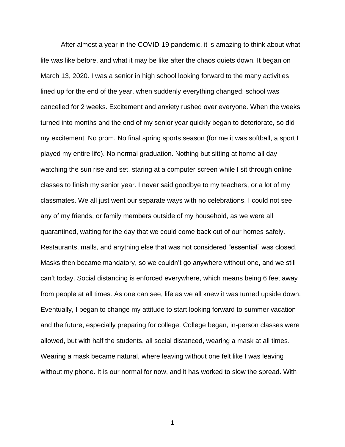After almost a year in the COVID-19 pandemic, it is amazing to think about what life was like before, and what it may be like after the chaos quiets down. It began on March 13, 2020. I was a senior in high school looking forward to the many activities lined up for the end of the year, when suddenly everything changed; school was cancelled for 2 weeks. Excitement and anxiety rushed over everyone. When the weeks turned into months and the end of my senior year quickly began to deteriorate, so did my excitement. No prom. No final spring sports season (for me it was softball, a sport I played my entire life). No normal graduation. Nothing but sitting at home all day watching the sun rise and set, staring at a computer screen while I sit through online classes to finish my senior year. I never said goodbye to my teachers, or a lot of my classmates. We all just went our separate ways with no celebrations. I could not see any of my friends, or family members outside of my household, as we were all quarantined, waiting for the day that we could come back out of our homes safely. Restaurants, malls, and anything else that was not considered "essential" was closed. Masks then became mandatory, so we couldn't go anywhere without one, and we still can't today. Social distancing is enforced everywhere, which means being 6 feet away from people at all times. As one can see, life as we all knew it was turned upside down. Eventually, I began to change my attitude to start looking forward to summer vacation and the future, especially preparing for college. College began, in-person classes were allowed, but with half the students, all social distanced, wearing a mask at all times. Wearing a mask became natural, where leaving without one felt like I was leaving without my phone. It is our normal for now, and it has worked to slow the spread. With

1